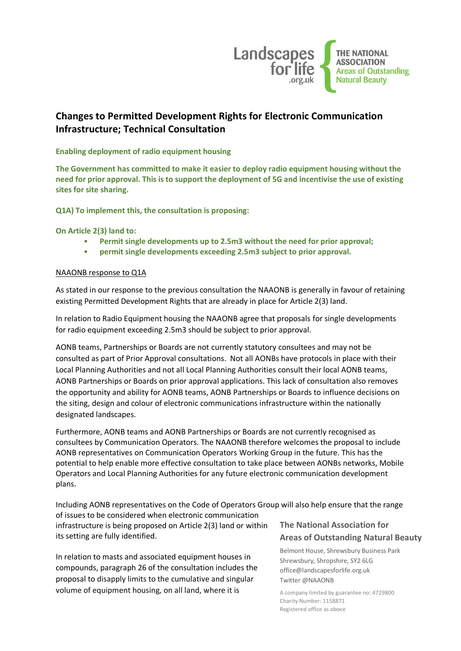

# **Changes to Permitted Development Rights for Electronic Communication Infrastructure; Technical Consultation**

# **Enabling deployment of radio equipment housing**

**The Government has committed to make it easier to deploy radio equipment housing without the need for prior approval. This is to support the deployment of 5G and incentivise the use of existing sites for site sharing.**

**Q1A) To implement this, the consultation is proposing:** 

**On Article 2(3) land to:** 

- **Permit single developments up to 2.5m3 without the need for prior approval;**
- **permit single developments exceeding 2.5m3 subject to prior approval.**

### NAAONB response to Q1A

As stated in our response to the previous consultation the NAAONB is generally in favour of retaining existing Permitted Development Rights that are already in place for Article 2(3) land.

In relation to Radio Equipment housing the NAAONB agree that proposals for single developments for radio equipment exceeding 2.5m3 should be subject to prior approval.

AONB teams, Partnerships or Boards are not currently statutory consultees and may not be consulted as part of Prior Approval consultations. Not all AONBs have protocols in place with their Local Planning Authorities and not all Local Planning Authorities consult their local AONB teams, AONB Partnerships or Boards on prior approval applications. This lack of consultation also removes the opportunity and ability for AONB teams, AONB Partnerships or Boards to influence decisions on the siting, design and colour of electronic communications infrastructure within the nationally designated landscapes.

Furthermore, AONB teams and AONB Partnerships or Boards are not currently recognised as consultees by Communication Operators. The NAAONB therefore welcomes the proposal to include AONB representatives on Communication Operators Working Group in the future. This has the potential to help enable more effective consultation to take place between AONBs networks, Mobile Operators and Local Planning Authorities for any future electronic communication development plans.

Including AONB representatives on the Code of Operators Group will also help ensure that the range

of issues to be considered when electronic communication infrastructure is being proposed on Article 2(3) land or within its setting are fully identified.

In relation to masts and associated equipment houses in compounds, paragraph 26 of the consultation includes the proposal to disapply limits to the cumulative and singular volume of equipment housing, on all land, where it is

# **The National Association for Areas of Outstanding Natural Beauty**

Belmont House, Shrewsbury Business Park Shrewsbury, Shropshire, SY2 6LG office@landscapesforlife.org.uk Twitter @NAAONB

A company limited by guarantee no: 4729800 Charity Number: 1158871 Registered office as above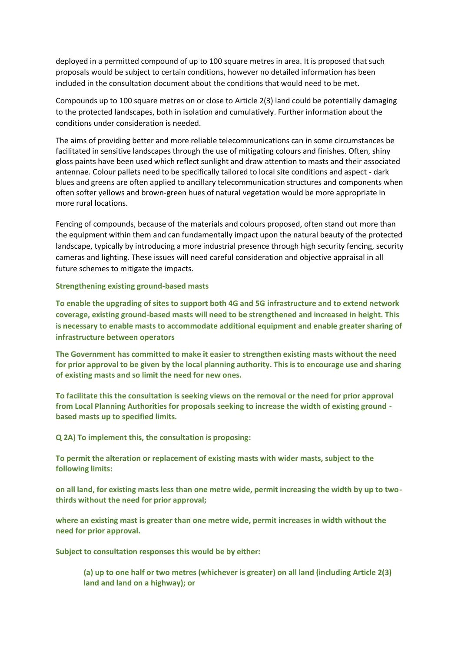deployed in a permitted compound of up to 100 square metres in area. It is proposed that such proposals would be subject to certain conditions, however no detailed information has been included in the consultation document about the conditions that would need to be met.

Compounds up to 100 square metres on or close to Article 2(3) land could be potentially damaging to the protected landscapes, both in isolation and cumulatively. Further information about the conditions under consideration is needed.

The aims of providing better and more reliable telecommunications can in some circumstances be facilitated in sensitive landscapes through the use of mitigating colours and finishes. Often, shiny gloss paints have been used which reflect sunlight and draw attention to masts and their associated antennae. Colour pallets need to be specifically tailored to local site conditions and aspect - dark blues and greens are often applied to ancillary telecommunication structures and components when often softer yellows and brown-green hues of natural vegetation would be more appropriate in more rural locations.

Fencing of compounds, because of the materials and colours proposed, often stand out more than the equipment within them and can fundamentally impact upon the natural beauty of the protected landscape, typically by introducing a more industrial presence through high security fencing, security cameras and lighting. These issues will need careful consideration and objective appraisal in all future schemes to mitigate the impacts.

#### **Strengthening existing ground-based masts**

**To enable the upgrading of sites to support both 4G and 5G infrastructure and to extend network coverage, existing ground-based masts will need to be strengthened and increased in height. This is necessary to enable masts to accommodate additional equipment and enable greater sharing of infrastructure between operators**

**The Government has committed to make it easier to strengthen existing masts without the need for prior approval to be given by the local planning authority. This is to encourage use and sharing of existing masts and so limit the need for new ones.**

**To facilitate this the consultation is seeking views on the removal or the need for prior approval from Local Planning Authorities for proposals seeking to increase the width of existing ground based masts up to specified limits.** 

**Q 2A) To implement this, the consultation is proposing:** 

**To permit the alteration or replacement of existing masts with wider masts, subject to the following limits:** 

**on all land, for existing masts less than one metre wide, permit increasing the width by up to twothirds without the need for prior approval;** 

**where an existing mast is greater than one metre wide, permit increases in width without the need for prior approval.** 

**Subject to consultation responses this would be by either:** 

**(a) up to one half or two metres (whichever is greater) on all land (including Article 2(3) land and land on a highway); or**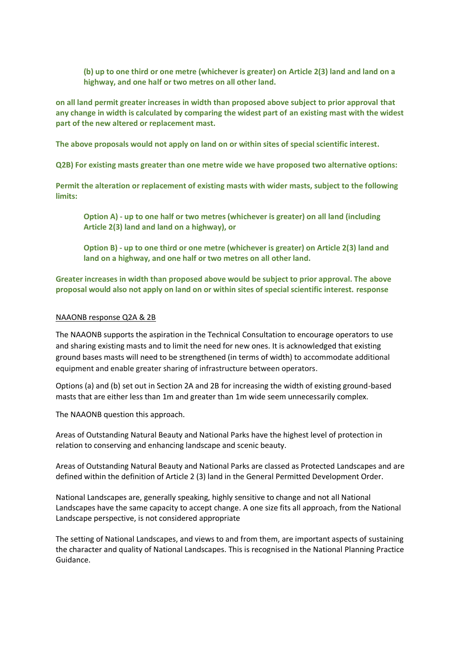**(b) up to one third or one metre (whichever is greater) on Article 2(3) land and land on a highway, and one half or two metres on all other land.** 

**on all land permit greater increases in width than proposed above subject to prior approval that any change in width is calculated by comparing the widest part of an existing mast with the widest part of the new altered or replacement mast.** 

**The above proposals would not apply on land on or within sites of special scientific interest.**

**Q2B) For existing masts greater than one metre wide we have proposed two alternative options:** 

**Permit the alteration or replacement of existing masts with wider masts, subject to the following limits:**

**Option A) - up to one half or two metres (whichever is greater) on all land (including Article 2(3) land and land on a highway), or** 

**Option B) - up to one third or one metre (whichever is greater) on Article 2(3) land and land on a highway, and one half or two metres on all other land.** 

**Greater increases in width than proposed above would be subject to prior approval. The above proposal would also not apply on land on or within sites of special scientific interest. response**

#### NAAONB response Q2A & 2B

The NAAONB supports the aspiration in the Technical Consultation to encourage operators to use and sharing existing masts and to limit the need for new ones. It is acknowledged that existing ground bases masts will need to be strengthened (in terms of width) to accommodate additional equipment and enable greater sharing of infrastructure between operators.

Options (a) and (b) set out in Section 2A and 2B for increasing the width of existing ground-based masts that are either less than 1m and greater than 1m wide seem unnecessarily complex.

The NAAONB question this approach.

Areas of Outstanding Natural Beauty and National Parks have the highest level of protection in relation to conserving and enhancing landscape and scenic beauty.

Areas of Outstanding Natural Beauty and National Parks are classed as Protected Landscapes and are defined within the definition of Article 2 (3) land in the General Permitted Development Order.

National Landscapes are, generally speaking, highly sensitive to change and not all National Landscapes have the same capacity to accept change. A one size fits all approach, from the National Landscape perspective, is not considered appropriate

The setting of National Landscapes, and views to and from them, are important aspects of sustaining the character and quality of National Landscapes. This is recognised in the National Planning Practice Guidance.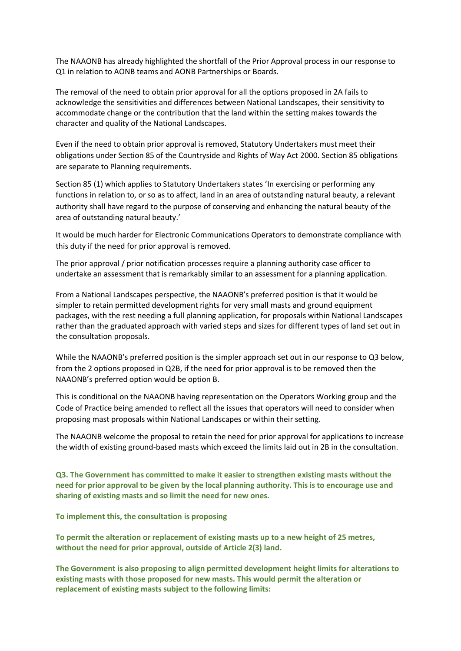The NAAONB has already highlighted the shortfall of the Prior Approval process in our response to Q1 in relation to AONB teams and AONB Partnerships or Boards.

The removal of the need to obtain prior approval for all the options proposed in 2A fails to acknowledge the sensitivities and differences between National Landscapes, their sensitivity to accommodate change or the contribution that the land within the setting makes towards the character and quality of the National Landscapes.

Even if the need to obtain prior approval is removed, Statutory Undertakers must meet their obligations under Section 85 of the Countryside and Rights of Way Act 2000. Section 85 obligations are separate to Planning requirements.

Section 85 (1) which applies to Statutory Undertakers states 'In exercising or performing any functions in relation to, or so as to affect, land in an area of outstanding natural beauty, a relevant authority shall have regard to the purpose of conserving and enhancing the natural beauty of the area of outstanding natural beauty.'

It would be much harder for Electronic Communications Operators to demonstrate compliance with this duty if the need for prior approval is removed.

The prior approval / prior notification processes require a planning authority case officer to undertake an assessment that is remarkably similar to an assessment for a planning application.

From a National Landscapes perspective, the NAAONB's preferred position is that it would be simpler to retain permitted development rights for very small masts and ground equipment packages, with the rest needing a full planning application, for proposals within National Landscapes rather than the graduated approach with varied steps and sizes for different types of land set out in the consultation proposals.

While the NAAONB's preferred position is the simpler approach set out in our response to Q3 below, from the 2 options proposed in Q2B, if the need for prior approval is to be removed then the NAAONB's preferred option would be option B.

This is conditional on the NAAONB having representation on the Operators Working group and the Code of Practice being amended to reflect all the issues that operators will need to consider when proposing mast proposals within National Landscapes or within their setting.

The NAAONB welcome the proposal to retain the need for prior approval for applications to increase the width of existing ground-based masts which exceed the limits laid out in 2B in the consultation.

**Q3. The Government has committed to make it easier to strengthen existing masts without the need for prior approval to be given by the local planning authority. This is to encourage use and sharing of existing masts and so limit the need for new ones.**

**To implement this, the consultation is proposing** 

**To permit the alteration or replacement of existing masts up to a new height of 25 metres, without the need for prior approval, outside of Article 2(3) land.** 

**The Government is also proposing to align permitted development height limits for alterations to existing masts with those proposed for new masts. This would permit the alteration or replacement of existing masts subject to the following limits:**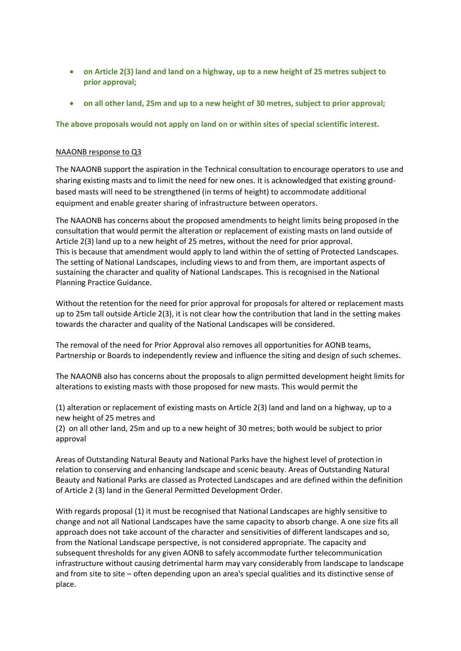- **on Article 2(3) land and land on a highway, up to a new height of 25 metres subject to prior approval;**
- **on all other land, 25m and up to a new height of 30 metres, subject to prior approval;**

# **The above proposals would not apply on land on or within sites of special scientific interest.**

# NAAONB response to Q3

The NAAONB support the aspiration in the Technical consultation to encourage operators to use and sharing existing masts and to limit the need for new ones. It is acknowledged that existing groundbased masts will need to be strengthened (in terms of height) to accommodate additional equipment and enable greater sharing of infrastructure between operators.

The NAAONB has concerns about the proposed amendments to height limits being proposed in the consultation that would permit the alteration or replacement of existing masts on land outside of Article 2(3) land up to a new height of 25 metres, without the need for prior approval. This is because that amendment would apply to land within the of setting of Protected Landscapes. The setting of National Landscapes, including views to and from them, are important aspects of sustaining the character and quality of National Landscapes. This is recognised in the National Planning Practice Guidance.

Without the retention for the need for prior approval for proposals for altered or replacement masts up to 25m tall outside Article 2(3), it is not clear how the contribution that land in the setting makes towards the character and quality of the National Landscapes will be considered.

The removal of the need for Prior Approval also removes all opportunities for AONB teams, Partnership or Boards to independently review and influence the siting and design of such schemes.

The NAAONB also has concerns about the proposals to align permitted development height limits for alterations to existing masts with those proposed for new masts. This would permit the

(1) alteration or replacement of existing masts on Article 2(3) land and land on a highway, up to a new height of 25 metres and

(2) on all other land, 25m and up to a new height of 30 metres; both would be subject to prior approval

Areas of Outstanding Natural Beauty and National Parks have the highest level of protection in relation to conserving and enhancing landscape and scenic beauty. Areas of Outstanding Natural Beauty and National Parks are classed as Protected Landscapes and are defined within the definition of Article 2 (3) land in the General Permitted Development Order.

With regards proposal (1) it must be recognised that National Landscapes are highly sensitive to change and not all National Landscapes have the same capacity to absorb change. A one size fits all approach does not take account of the character and sensitivities of different landscapes and so, from the National Landscape perspective, is not considered appropriate. The capacity and subsequent thresholds for any given AONB to safely accommodate further telecommunication infrastructure without causing detrimental harm may vary considerably from landscape to landscape and from site to site – often depending upon an area's special qualities and its distinctive sense of place.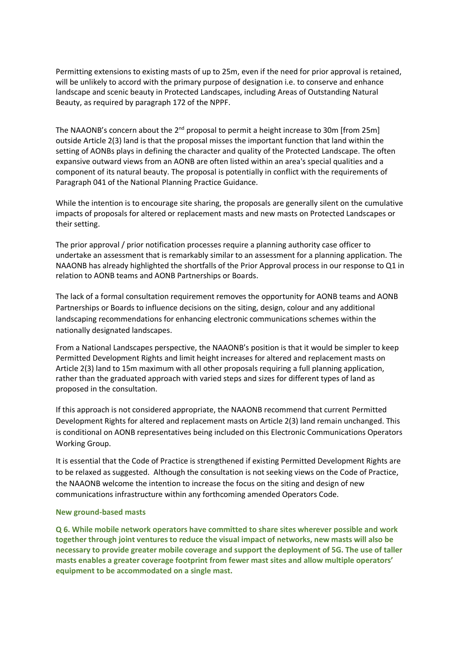Permitting extensions to existing masts of up to 25m, even if the need for prior approval is retained, will be unlikely to accord with the primary purpose of designation i.e. to conserve and enhance landscape and scenic beauty in Protected Landscapes, including Areas of Outstanding Natural Beauty, as required by paragraph 172 of the NPPF.

The NAAONB's concern about the 2<sup>nd</sup> proposal to permit a height increase to 30m [from 25m] outside Article 2(3) land is that the proposal misses the important function that land within the setting of AONBs plays in defining the character and quality of the Protected Landscape. The often expansive outward views from an AONB are often listed within an area's special qualities and a component of its natural beauty. The proposal is potentially in conflict with the requirements of Paragraph 041 of the National Planning Practice Guidance.

While the intention is to encourage site sharing, the proposals are generally silent on the cumulative impacts of proposals for altered or replacement masts and new masts on Protected Landscapes or their setting.

The prior approval / prior notification processes require a planning authority case officer to undertake an assessment that is remarkably similar to an assessment for a planning application. The NAAONB has already highlighted the shortfalls of the Prior Approval process in our response to Q1 in relation to AONB teams and AONB Partnerships or Boards.

The lack of a formal consultation requirement removes the opportunity for AONB teams and AONB Partnerships or Boards to influence decisions on the siting, design, colour and any additional landscaping recommendations for enhancing electronic communications schemes within the nationally designated landscapes.

From a National Landscapes perspective, the NAAONB's position is that it would be simpler to keep Permitted Development Rights and limit height increases for altered and replacement masts on Article 2(3) land to 15m maximum with all other proposals requiring a full planning application, rather than the graduated approach with varied steps and sizes for different types of land as proposed in the consultation.

If this approach is not considered appropriate, the NAAONB recommend that current Permitted Development Rights for altered and replacement masts on Article 2(3) land remain unchanged. This is conditional on AONB representatives being included on this Electronic Communications Operators Working Group.

It is essential that the Code of Practice is strengthened if existing Permitted Development Rights are to be relaxed as suggested. Although the consultation is not seeking views on the Code of Practice, the NAAONB welcome the intention to increase the focus on the siting and design of new communications infrastructure within any forthcoming amended Operators Code.

#### **New ground-based masts**

**Q 6. While mobile network operators have committed to share sites wherever possible and work together through joint ventures to reduce the visual impact of networks, new masts will also be necessary to provide greater mobile coverage and support the deployment of 5G. The use of taller masts enables a greater coverage footprint from fewer mast sites and allow multiple operators' equipment to be accommodated on a single mast.**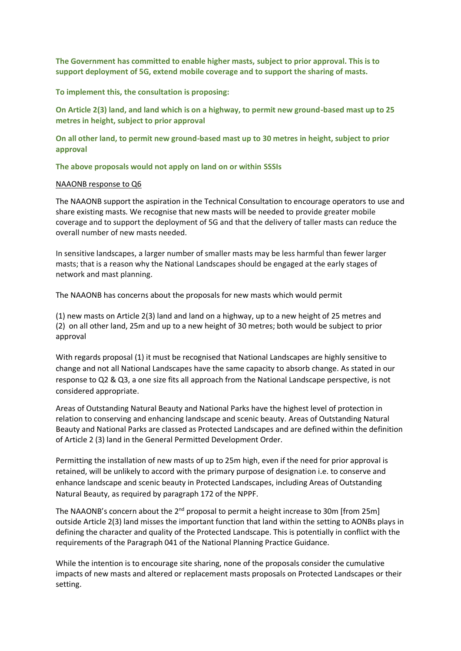**The Government has committed to enable higher masts, subject to prior approval. This is to support deployment of 5G, extend mobile coverage and to support the sharing of masts.**

**To implement this, the consultation is proposing:**

**On Article 2(3) land, and land which is on a highway, to permit new ground-based mast up to 25 metres in height, subject to prior approval** 

**On all other land, to permit new ground-based mast up to 30 metres in height, subject to prior approval** 

**The above proposals would not apply on land on or within SSSIs**

#### NAAONB response to Q6

The NAAONB support the aspiration in the Technical Consultation to encourage operators to use and share existing masts. We recognise that new masts will be needed to provide greater mobile coverage and to support the deployment of 5G and that the delivery of taller masts can reduce the overall number of new masts needed.

In sensitive landscapes, a larger number of smaller masts may be less harmful than fewer larger masts; that is a reason why the National Landscapes should be engaged at the early stages of network and mast planning.

The NAAONB has concerns about the proposals for new masts which would permit

(1) new masts on Article 2(3) land and land on a highway, up to a new height of 25 metres and (2) on all other land, 25m and up to a new height of 30 metres; both would be subject to prior approval

With regards proposal (1) it must be recognised that National Landscapes are highly sensitive to change and not all National Landscapes have the same capacity to absorb change. As stated in our response to Q2 & Q3, a one size fits all approach from the National Landscape perspective, is not considered appropriate.

Areas of Outstanding Natural Beauty and National Parks have the highest level of protection in relation to conserving and enhancing landscape and scenic beauty. Areas of Outstanding Natural Beauty and National Parks are classed as Protected Landscapes and are defined within the definition of Article 2 (3) land in the General Permitted Development Order.

Permitting the installation of new masts of up to 25m high, even if the need for prior approval is retained, will be unlikely to accord with the primary purpose of designation i.e. to conserve and enhance landscape and scenic beauty in Protected Landscapes, including Areas of Outstanding Natural Beauty, as required by paragraph 172 of the NPPF.

The NAAONB's concern about the 2<sup>nd</sup> proposal to permit a height increase to 30m [from 25m] outside Article 2(3) land misses the important function that land within the setting to AONBs plays in defining the character and quality of the Protected Landscape. This is potentially in conflict with the requirements of the Paragraph 041 of the National Planning Practice Guidance.

While the intention is to encourage site sharing, none of the proposals consider the cumulative impacts of new masts and altered or replacement masts proposals on Protected Landscapes or their setting.